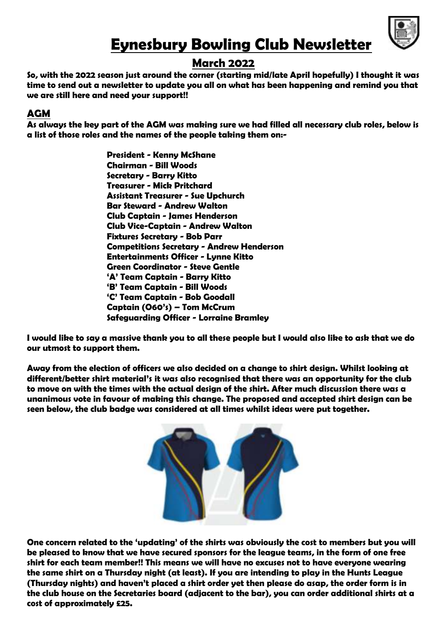

# **Eynesbury Bowling Club Newsletter**

# **March 2022**

**So, with the 2022 season just around the corner (starting mid/late April hopefully) I thought it was time to send out a newsletter to update you all on what has been happening and remind you that we are still here and need your support!!** 

# **AGM**

**As always the key part of the AGM was making sure we had filled all necessary club roles, below is a list of those roles and the names of the people taking them on:-**

> **President - Kenny McShane Chairman - Bill Woods Secretary - Barry Kitto Treasurer - Mick Pritchard Assistant Treasurer - Sue Upchurch Bar Steward - Andrew Walton Club Captain - James Henderson Club Vice-Captain - Andrew Walton Fixtures Secretary - Bob Parr Competitions Secretary - Andrew Henderson Entertainments Officer - Lynne Kitto Green Coordinator - Steve Gentle 'A' Team Captain - Barry Kitto 'B' Team Captain - Bill Woods 'C' Team Captain - Bob Goodall Captain (O60's) – Tom McCrum Safeguarding Officer - Lorraine Bramley**

**I would like to say a massive thank you to all these people but I would also like to ask that we do our utmost to support them.** 

**Away from the election of officers we also decided on a change to shirt design. Whilst looking at different/better shirt material's it was also recognised that there was an opportunity for the club to move on with the times with the actual design of the shirt. After much discussion there was a unanimous vote in favour of making this change. The proposed and accepted shirt design can be seen below, the club badge was considered at all times whilst ideas were put together.**



**One concern related to the 'updating' of the shirts was obviously the cost to members but you will be pleased to know that we have secured sponsors for the league teams, in the form of one free shirt for each team member!! This means we will have no excuses not to have everyone wearing the same shirt on a Thursday night (at least). If you are intending to play in the Hunts League (Thursday nights) and haven't placed a shirt order yet then please do asap, the order form is in the club house on the Secretaries board (adjacent to the bar), you can order additional shirts at a cost of approximately £25.**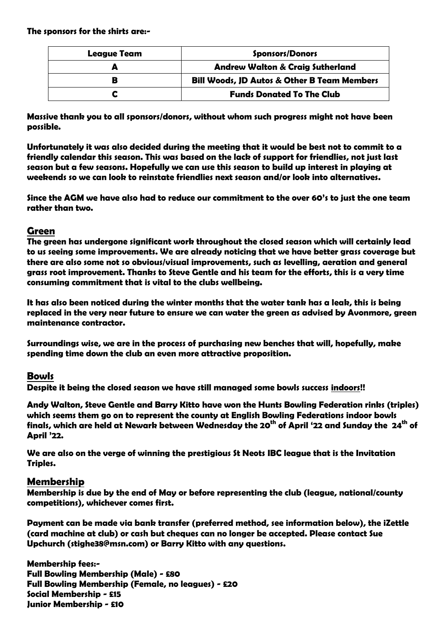**The sponsors for the shirts are:-**

| <b>League Team</b> | <b>Sponsors/Donors</b>                                 |
|--------------------|--------------------------------------------------------|
|                    | <b>Andrew Walton &amp; Craig Sutherland</b>            |
|                    | <b>Bill Woods, JD Autos &amp; Other B Team Members</b> |
|                    | <b>Funds Donated To The Club</b>                       |

**Massive thank you to all sponsors/donors, without whom such progress might not have been possible.** 

**Unfortunately it was also decided during the meeting that it would be best not to commit to a friendly calendar this season. This was based on the lack of support for friendlies, not just last season but a few seasons. Hopefully we can use this season to build up interest in playing at weekends so we can look to reinstate friendlies next season and/or look into alternatives.**

**Since the AGM we have also had to reduce our commitment to the over 60's to just the one team rather than two.**

#### **Green**

**The green has undergone significant work throughout the closed season which will certainly lead to us seeing some improvements. We are already noticing that we have better grass coverage but there are also some not so obvious/visual improvements, such as levelling, aeration and general grass root improvement. Thanks to Steve Gentle and his team for the efforts, this is a very time consuming commitment that is vital to the clubs wellbeing.**

**It has also been noticed during the winter months that the water tank has a leak, this is being replaced in the very near future to ensure we can water the green as advised by Avonmore, green maintenance contractor.** 

**Surroundings wise, we are in the process of purchasing new benches that will, hopefully, make spending time down the club an even more attractive proposition.**

#### **Bowls**

**Despite it being the closed season we have still managed some bowls success indoors!!** 

**Andy Walton, Steve Gentle and Barry Kitto have won the Hunts Bowling Federation rinks (triples) which seems them go on to represent the county at English Bowling Federations indoor bowls finals, which are held at Newark between Wednesday the 20th of April '22 and Sunday the 24th of April '22.** 

**We are also on the verge of winning the prestigious St Neots IBC league that is the Invitation Triples.** 

#### **Membership**

**Membership is due by the end of May or before representing the club (league, national/county competitions), whichever comes first.**

**Payment can be made via bank transfer (preferred method, see information below), the iZettle (card machine at club) or cash but cheques can no longer be accepted. Please contact Sue Upchurch (stighe38@msn.com) or Barry Kitto with any questions.**

**Membership fees:- Full Bowling Membership (Male) - £80 Full Bowling Membership (Female, no leagues) - £20 Social Membership - £15 Junior Membership - £10**